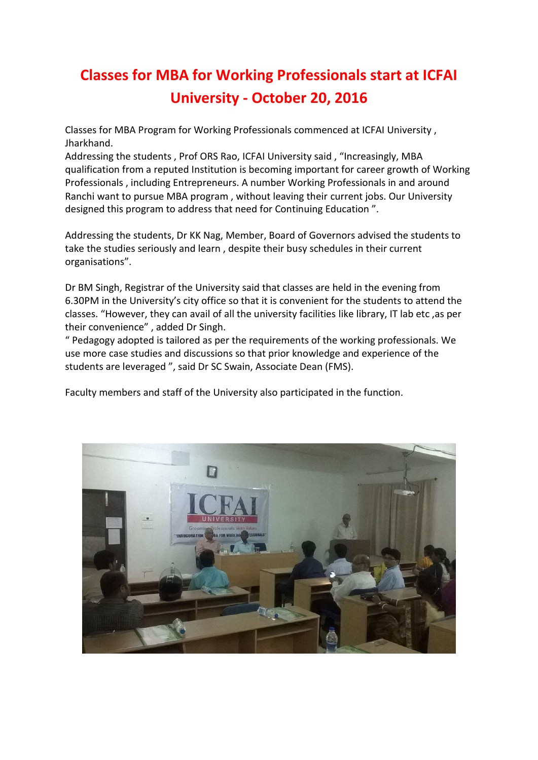## **Classes for MBA for Working Professionals start at ICFAI University - October 20, 2016**

Classes for MBA Program for Working Professionals commenced at ICFAI University , Jharkhand.

Addressing the students , Prof ORS Rao, ICFAI University said , "Increasingly, MBA qualification from a reputed Institution is becoming important for career growth of Working Professionals , including Entrepreneurs. A number Working Professionals in and around Ranchi want to pursue MBA program , without leaving their current jobs. Our University designed this program to address that need for Continuing Education ".

Addressing the students, Dr KK Nag, Member, Board of Governors advised the students to take the studies seriously and learn , despite their busy schedules in their current organisations".

Dr BM Singh, Registrar of the University said that classes are held in the evening from 6.30PM in the University's city office so that it is convenient for the students to attend the classes. "However, they can avail of all the university facilities like library, IT lab etc ,as per their convenience" , added Dr Singh.

" Pedagogy adopted is tailored as per the requirements of the working professionals. We use more case studies and discussions so that prior knowledge and experience of the students are leveraged ", said Dr SC Swain, Associate Dean (FMS).

Faculty members and staff of the University also participated in the function.